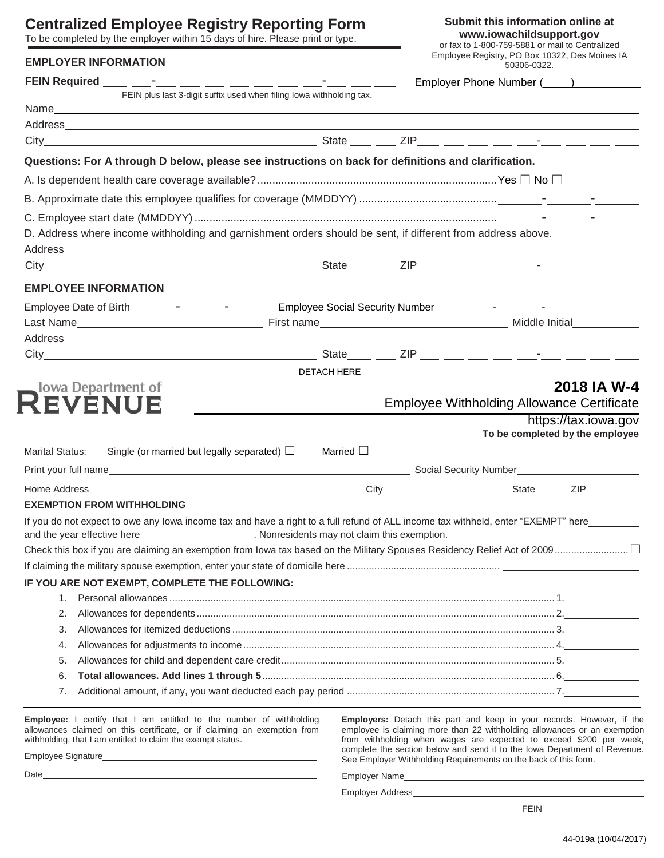# **Centralized**

## **EMPLOYER INFO**

| <b>Centralized Employee Registry Reporting Form</b><br>To be completed by the employer within 15 days of hire. Please print or type.<br><b>EMPLOYER INFORMATION</b> |                                                                                                                                                                                                                                     |  |                |  | Submit this information online at<br>www.iowachildsupport.gov<br>or fax to 1-800-759-5881 or mail to Centralized<br>Employee Registry, PO Box 10322, Des Moines IA |                                 |  |
|---------------------------------------------------------------------------------------------------------------------------------------------------------------------|-------------------------------------------------------------------------------------------------------------------------------------------------------------------------------------------------------------------------------------|--|----------------|--|--------------------------------------------------------------------------------------------------------------------------------------------------------------------|---------------------------------|--|
|                                                                                                                                                                     |                                                                                                                                                                                                                                     |  |                |  |                                                                                                                                                                    |                                 |  |
|                                                                                                                                                                     | FEIN plus last 3-digit suffix used when filing lowa withholding tax.                                                                                                                                                                |  |                |  |                                                                                                                                                                    |                                 |  |
|                                                                                                                                                                     |                                                                                                                                                                                                                                     |  |                |  |                                                                                                                                                                    |                                 |  |
|                                                                                                                                                                     |                                                                                                                                                                                                                                     |  |                |  |                                                                                                                                                                    |                                 |  |
|                                                                                                                                                                     |                                                                                                                                                                                                                                     |  |                |  |                                                                                                                                                                    |                                 |  |
|                                                                                                                                                                     | Questions: For A through D below, please see instructions on back for definitions and clarification.                                                                                                                                |  |                |  |                                                                                                                                                                    |                                 |  |
|                                                                                                                                                                     |                                                                                                                                                                                                                                     |  |                |  |                                                                                                                                                                    |                                 |  |
|                                                                                                                                                                     |                                                                                                                                                                                                                                     |  |                |  |                                                                                                                                                                    |                                 |  |
|                                                                                                                                                                     |                                                                                                                                                                                                                                     |  |                |  |                                                                                                                                                                    |                                 |  |
|                                                                                                                                                                     | D. Address where income withholding and garnishment orders should be sent, if different from address above.                                                                                                                         |  |                |  |                                                                                                                                                                    |                                 |  |
|                                                                                                                                                                     |                                                                                                                                                                                                                                     |  |                |  |                                                                                                                                                                    |                                 |  |
|                                                                                                                                                                     |                                                                                                                                                                                                                                     |  |                |  |                                                                                                                                                                    |                                 |  |
|                                                                                                                                                                     | <b>EMPLOYEE INFORMATION</b>                                                                                                                                                                                                         |  |                |  |                                                                                                                                                                    |                                 |  |
|                                                                                                                                                                     |                                                                                                                                                                                                                                     |  |                |  |                                                                                                                                                                    |                                 |  |
|                                                                                                                                                                     |                                                                                                                                                                                                                                     |  |                |  |                                                                                                                                                                    |                                 |  |
|                                                                                                                                                                     |                                                                                                                                                                                                                                     |  |                |  |                                                                                                                                                                    |                                 |  |
|                                                                                                                                                                     |                                                                                                                                                                                                                                     |  |                |  |                                                                                                                                                                    |                                 |  |
|                                                                                                                                                                     |                                                                                                                                                                                                                                     |  |                |  |                                                                                                                                                                    |                                 |  |
| lowa Department of                                                                                                                                                  |                                                                                                                                                                                                                                     |  |                |  |                                                                                                                                                                    | 2018 IA W-4                     |  |
| REVENUE                                                                                                                                                             |                                                                                                                                                                                                                                     |  |                |  | <b>Employee Withholding Allowance Certificate</b>                                                                                                                  |                                 |  |
|                                                                                                                                                                     |                                                                                                                                                                                                                                     |  |                |  |                                                                                                                                                                    | https://tax.iowa.gov            |  |
|                                                                                                                                                                     |                                                                                                                                                                                                                                     |  |                |  |                                                                                                                                                                    | To be completed by the employee |  |
| <b>Marital Status:</b>                                                                                                                                              | Single (or married but legally separated) $\Box$                                                                                                                                                                                    |  | Married $\Box$ |  |                                                                                                                                                                    |                                 |  |
|                                                                                                                                                                     |                                                                                                                                                                                                                                     |  |                |  |                                                                                                                                                                    |                                 |  |
|                                                                                                                                                                     |                                                                                                                                                                                                                                     |  |                |  |                                                                                                                                                                    |                                 |  |
|                                                                                                                                                                     | <b>EXEMPTION FROM WITHHOLDING</b>                                                                                                                                                                                                   |  |                |  |                                                                                                                                                                    |                                 |  |
|                                                                                                                                                                     | If you do not expect to owe any lowa income tax and have a right to a full refund of ALL income tax withheld, enter "EXEMPT" here<br>and the year effective here ______________________. Nonresidents may not claim this exemption. |  |                |  |                                                                                                                                                                    |                                 |  |
|                                                                                                                                                                     |                                                                                                                                                                                                                                     |  |                |  |                                                                                                                                                                    |                                 |  |
|                                                                                                                                                                     |                                                                                                                                                                                                                                     |  |                |  |                                                                                                                                                                    |                                 |  |

### **IF YOU ARE NOT EXEMPT, COMPLETE THE FOLLOWING:**

| 6. |  |
|----|--|
|    |  |
|    |  |

**Employee:** I certify that I am entitled to the number of withholding allowances claimed on this certificate, or if claiming an exemption from withholding, that I am entitled to claim the exempt status.

Employee Signature

**Employers:** Detach this part and keep in your records. However, if the employee is claiming more than 22 withholding allowances or an exemption from withholding when wages are expected to exceed \$200 per week, complete the section below and send it to the Iowa Department of Revenue. See Employer Withholding Requirements on the back of this form.

Employer Name

Employer Address

 $\overline{\phantom{a}}$  FEIN

Date